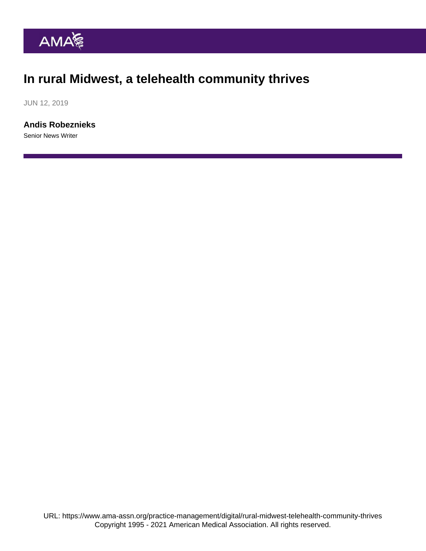# In rural Midwest, a telehealth community thrives

JUN 12, 2019

[Andis Robeznieks](https://www.ama-assn.org/news-leadership-viewpoints/authors-news-leadership-viewpoints/andis-robeznieks) Senior News Writer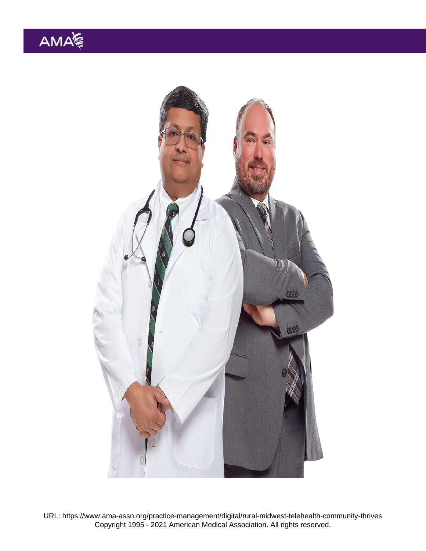URL: <https://www.ama-assn.org/practice-management/digital/rural-midwest-telehealth-community-thrives> Copyright 1995 - 2021 American Medical Association. All rights reserved.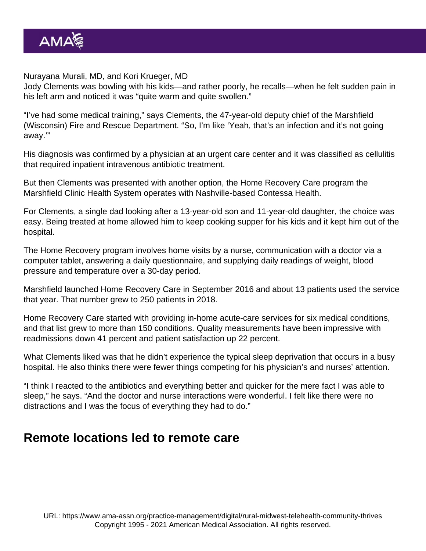Nurayana Murali, MD, and Kori Krueger, MD

Jody Clements was bowling with his kids—and rather poorly, he recalls—when he felt sudden pain in his left arm and noticed it was "quite warm and quite swollen."

"I've had some medical training," says Clements, the 47-year-old deputy chief of the Marshfield (Wisconsin) Fire and Rescue Department. "So, I'm like 'Yeah, that's an infection and it's not going away.'"

His diagnosis was confirmed by a physician at an urgent care center and it was classified as cellulitis that required inpatient intravenous antibiotic treatment.

But then Clements was presented with another option, the Home Recovery Care program the Marshfield Clinic Health System operates with Nashville-based Contessa Health.

For Clements, a single dad looking after a 13-year-old son and 11-year-old daughter, the choice was easy. Being treated at home allowed him to keep cooking supper for his kids and it kept him out of the hospital.

The Home Recovery program involves home visits by a nurse, communication with a doctor via a computer tablet, answering a daily questionnaire, and supplying daily readings of weight, blood pressure and temperature over a 30-day period.

Marshfield launched Home Recovery Care in September 2016 and about 13 patients used the service that year. That number grew to 250 patients in 2018.

Home Recovery Care started with providing in-home acute-care services for six medical conditions, and that list grew to more than 150 conditions. Quality measurements have been impressive with readmissions down 41 percent and patient satisfaction up 22 percent.

What Clements liked was that he didn't experience the typical sleep deprivation that occurs in a busy hospital. He also thinks there were fewer things competing for his physician's and nurses' attention.

"I think I reacted to the antibiotics and everything better and quicker for the mere fact I was able to sleep," he says. "And the doctor and nurse interactions were wonderful. I felt like there were no distractions and I was the focus of everything they had to do."

### Remote locations led to remote care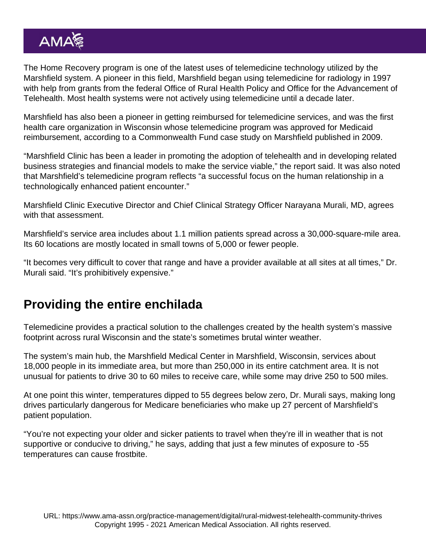The Home Recovery program is one of the latest uses of telemedicine technology utilized by the Marshfield system. A pioneer in this field, Marshfield began using telemedicine for radiology in 1997 with help from grants from the federal Office of Rural Health Policy and Office for the Advancement of Telehealth. Most health systems were not actively using telemedicine until a decade later.

Marshfield has also been a pioneer in getting reimbursed for telemedicine services, and was the first health care organization in Wisconsin whose telemedicine program was approved for Medicaid reimbursement, according to a Commonwealth Fund [case study](https://www.commonwealthfund.org/sites/default/files/documents/___media_files_publications_case_study_2009_aug_1293_mccarthy_marshfield_case_study.pdf) on Marshfield published in 2009.

"Marshfield Clinic has been a leader in promoting the adoption of telehealth and in developing related business strategies and financial models to make the service viable," the report said. It was also noted that Marshfield's telemedicine program reflects "a successful focus on the human relationship in a technologically enhanced patient encounter."

Marshfield Clinic Executive Director and Chief Clinical Strategy Officer Narayana Murali, MD, agrees with that assessment.

Marshfield's service area includes about 1.1 million patients spread across a 30,000-square-mile area. Its 60 locations are mostly located in small towns of 5,000 or fewer people.

"It becomes very difficult to cover that range and have a provider available at all sites at all times," Dr. Murali said. "It's prohibitively expensive."

## Providing the entire enchilada

Telemedicine provides a practical solution to the challenges created by the health system's massive footprint across rural Wisconsin and the state's sometimes brutal winter weather.

The system's main hub, the Marshfield Medical Center in Marshfield, Wisconsin, services about 18,000 people in its immediate area, but more than 250,000 in its entire catchment area. It is not unusual for patients to drive 30 to 60 miles to receive care, while some may drive 250 to 500 miles.

At one point this winter, temperatures dipped to 55 degrees below zero, Dr. Murali says, making long drives particularly dangerous for Medicare beneficiaries who make up 27 percent of Marshfield's patient population.

"You're not expecting your older and sicker patients to travel when they're ill in weather that is not supportive or conducive to driving," he says, adding that just a few minutes of exposure to -55 temperatures can cause frostbite.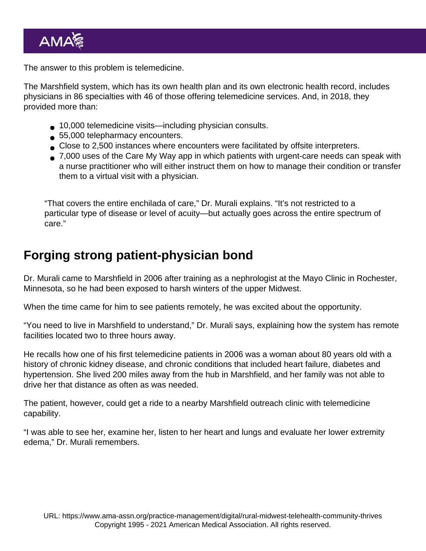The answer to this problem is telemedicine.

The Marshfield system, which has its own health plan and its own electronic health record, includes physicians in 86 specialties with 46 of those offering telemedicine services. And, in 2018, they provided more than:

- 10,000 telemedicine visits—including physician consults.
- 55,000 telepharmacy encounters.
- Close to 2,500 instances where encounters were facilitated by offsite interpreters.
- 7,000 uses of the Care My Way app in which patients with urgent-care needs can speak with a nurse practitioner who will either instruct them on how to manage their condition or transfer them to a virtual visit with a physician.

"That covers the entire enchilada of care," Dr. Murali explains. "It's not restricted to a particular type of disease or level of acuity—but actually goes across the entire spectrum of care."

## Forging strong patient-physician bond

Dr. Murali came to Marshfield in 2006 after training as a nephrologist at the Mayo Clinic in Rochester, Minnesota, so he had been exposed to harsh winters of the upper Midwest.

When the time came for him to see patients remotely, he was excited about the opportunity.

"You need to live in Marshfield to understand," Dr. Murali says, explaining how the system has remote facilities located two to three hours away.

He recalls how one of his first telemedicine patients in 2006 was a woman about 80 years old with a history of chronic kidney disease, and chronic conditions that included heart failure, diabetes and hypertension. She lived 200 miles away from the hub in Marshfield, and her family was not able to drive her that distance as often as was needed.

The patient, however, could get a ride to a nearby Marshfield outreach clinic with telemedicine capability.

"I was able to see her, examine her, listen to her heart and lungs and evaluate her lower extremity edema," Dr. Murali remembers.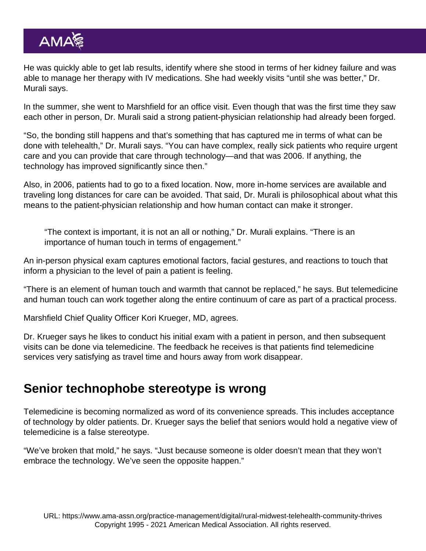He was quickly able to get lab results, identify where she stood in terms of her kidney failure and was able to manage her therapy with IV medications. She had weekly visits "until she was better," Dr. Murali says.

In the summer, she went to Marshfield for an office visit. Even though that was the first time they saw each other in person, Dr. Murali said a strong patient-physician relationship had already been forged.

"So, the bonding still happens and that's something that has captured me in terms of what can be done with telehealth," Dr. Murali says. "You can have complex, really sick patients who require urgent care and you can provide that care through technology—and that was 2006. If anything, the technology has improved significantly since then."

Also, in 2006, patients had to go to a fixed location. Now, more in-home services are available and traveling long distances for care can be avoided. That said, Dr. Murali is philosophical about what this means to the patient-physician relationship and how human contact can make it stronger.

"The context is important, it is not an all or nothing," Dr. Murali explains. "There is an importance of human touch in terms of engagement."

An in-person physical exam captures emotional factors, facial gestures, and reactions to touch that inform a physician to the level of pain a patient is feeling.

"There is an element of human touch and warmth that cannot be replaced," he says. But telemedicine and human touch can work together along the entire continuum of care as part of a practical process.

Marshfield Chief Quality Officer Kori Krueger, MD, agrees.

Dr. Krueger says he likes to conduct his initial exam with a patient in person, and then subsequent visits can be done via telemedicine. The feedback he receives is that patients find telemedicine services very satisfying as travel time and hours away from work disappear.

### Senior technophobe stereotype is wrong

Telemedicine is becoming normalized as word of its convenience spreads. This includes acceptance of technology by older patients. Dr. Krueger says the belief that seniors would hold a negative view of telemedicine is a false stereotype.

"We've broken that mold," he says. "Just because someone is older doesn't mean that they won't embrace the technology. We've seen the opposite happen."